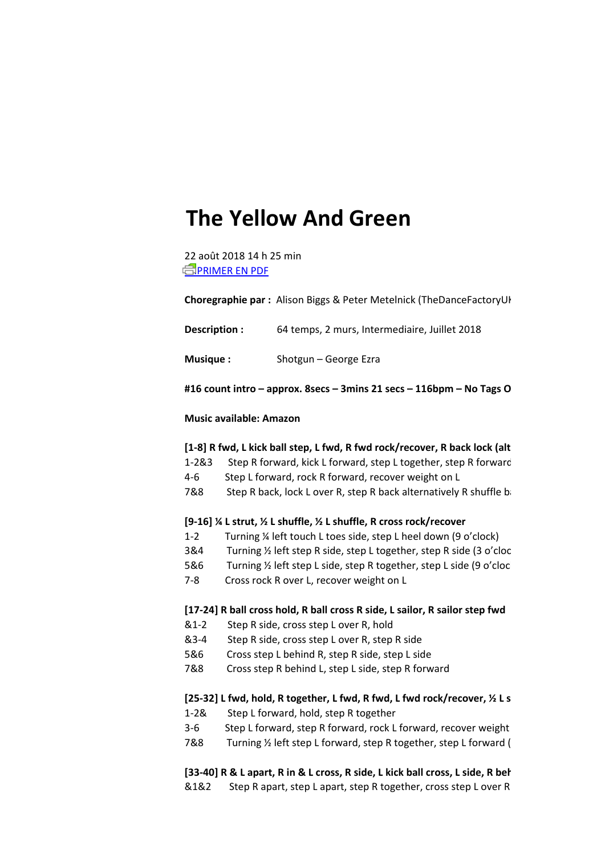# **The Yellow And Green**

22 août 2018 14 h 25 min **EPRIMER EN PDF** 

**Choregraphie par :** Alison Biggs & Peter Metelnick (TheDanceFactoryUK)

**Description :** 64 temps, 2 murs, Intermediaire, Juillet 2018

**Musique :** Shotgun – George Ezra

#16 count intro – approx. 8secs – 3mins 21 secs – 116bpm – No Tags O

## **Music available: Amazon**

#### [1-8] R fwd, L kick ball step, L fwd, R fwd rock/recover, R back lock (alt

- 1-2&3 Step R forward, kick L forward, step L together, step R forward
- 4-6 Step L forward, rock R forward, recover weight on L
- 7&8 Step R back, lock L over R, step R back alternatively R shuffle back

## **[9-16] ¼ L strut, ½ L shuffle, ½ L shuffle, R cross rock/recover**

- 1-2 Turning ¼ left touch L toes side, step L heel down (9 o'clock)
- 3&4 Turning ½ left step R side, step L together, step R side (3 o'clock)
- 5&6 Turning ½ left step L side, step R together, step L side (9 o'clock)
- 7-8 Cross rock R over L, recover weight on L

### **[17-24] R ball cross hold, R ball cross R side, L sailor, R sailor step fwd**

- &1-2 Step R side, cross step L over R, hold
- &3-4 Step R side, cross step L over R, step R side
- 5&6 Cross step L behind R, step R side, step L side
- 7&8 Cross step R behind L, step L side, step R forward

# [25-32] L fwd, hold, R together, L fwd, R fwd, L fwd rock/recover, <sup>1/2</sup> L s

- 1-2& Step L forward, hold, step R together
- 3-6 Step L forward, step R forward, rock L forward, recover weight
- 7&8 Turning  $\frac{1}{2}$  left step L forward, step R together, step L forward (

# [33-40] R & L apart, R in & L cross, R side, L kick ball cross, L side, R behind-

&1&2 Step R apart, step L apart, step R together, cross step L over R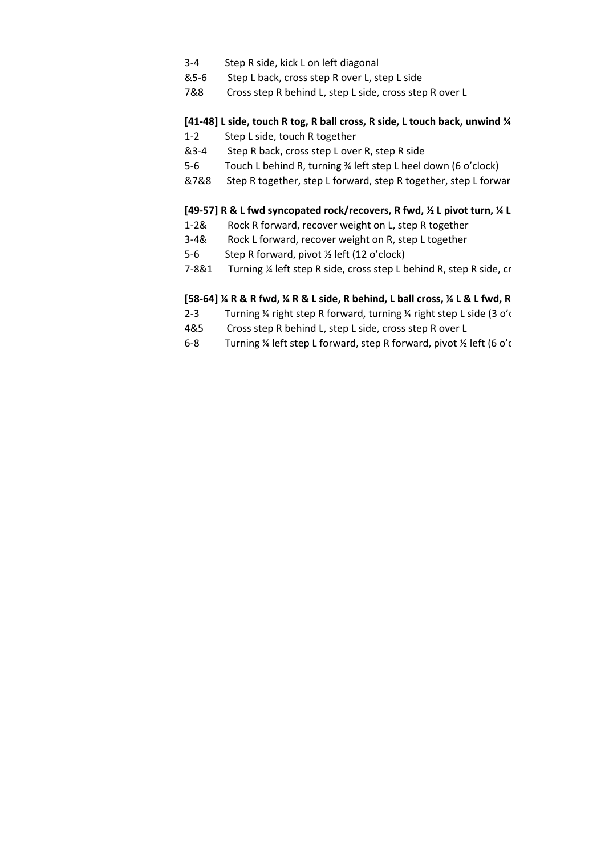- 3-4 Step R side, kick L on left diagonal
- &5-6 Step L back, cross step R over L, step L side
- 7&8 Cross step R behind L, step L side, cross step R over L

# **[41-48] L side, touch R tog, R ball cross, R side, L touch back, unwind ¾ L weight on L, R together, L shuffle fwd**

- 1-2 Step L side, touch R together
- &3-4 Step R back, cross step L over R, step R side
- 5-6 Touch L behind R, turning ¾ left step L heel down (6 o'clock)
- &7&8 Step R together, step L forward, step R together, step L forwar

# [49-57] R & L fwd syncopated rock/recovers, R fwd, <sup>1/2</sup> L pivot turn, <sup>1/2</sup> L

- 1-2& Rock R forward, recover weight on L, step R together
- 3-4& Rock L forward, recover weight on R, step L together
- 5-6 Step R forward, pivot ½ left (12 o'clock)
- 7-8&1 Turning ¼ left step R side, cross step L behind R, step R side, cr

# [58-64] ¼ R & R fwd, ¼ R & L side, R behind, L ball cross, ¼ L & L fwd, R

- 2-3 Turning ¼ right step R forward, turning ¼ right step L side (3 o'd
- 4&5 Cross step R behind L, step L side, cross step R over L
- 6-8 Turning ¼ left step L forward, step R forward, pivot ½ left (6 o'c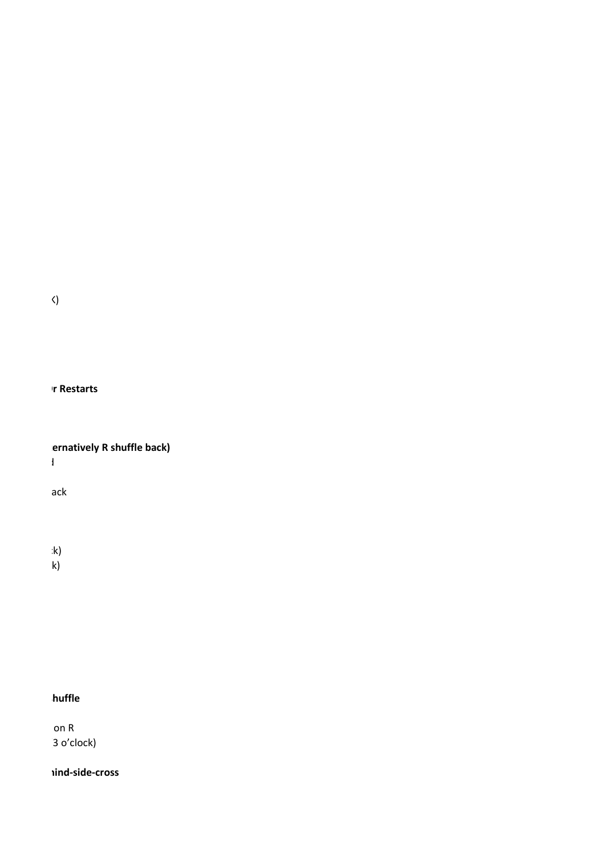**Choregraphie par :** Alison Biggs & Peter Metelnick (TheDanceFactoryUK)

**#16 count intro – approx. 8secs – 3mins 21 secs – 116bpm – No Tags Or Restarts**

**ernatively R shuffle back)** 

1-2&3 Step R forward, kick L forward, step L together, step R forward

 $\overline{\phantom{a}}$  ack

 $\mathbf{k}$  is the R side, step  $\mathbf{k}$ 

5 Turning  $\mathsf{k}$ 

# $\overline{\phantom{a}}$  huffle

 $\overline{\mathsf{on}}$  R 3 o'clock)

hind-side-cross